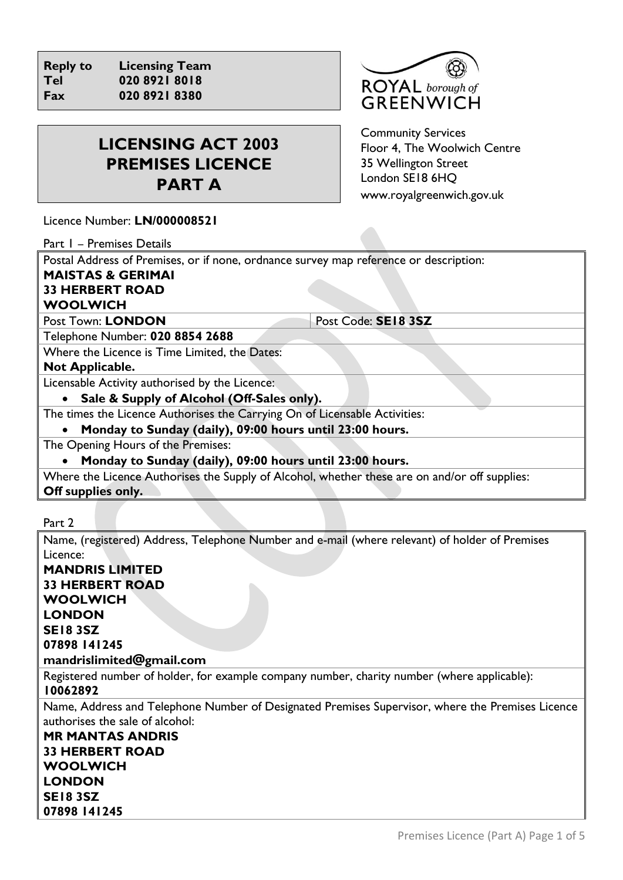**Reply to Licensing Team Tel 020 8921 8018 Fax 020 8921 8380**



# **LICENSING ACT 2003 PREMISES LICENCE PART A**

Community Services Floor 4, The Woolwich Centre 35 Wellington Street London SE18 6HQ [www.royalgreenwich.gov.uk](http://www.royalgreenwich.gov.uk/)

Licence Number: **LN/000008521**

Part 1 – Premises Details

Postal Address of Premises, or if none, ordnance survey map reference or description:

# **MAISTAS & GERIMAI**

# **33 HERBERT ROAD**

# **WOOLWICH**

Post Town: LONDON Post Code: **SE18 3SZ** 

Telephone Number: **020 8854 2688**

Where the Licence is Time Limited, the Dates:

#### **Not Applicable.**

Licensable Activity authorised by the Licence:

• **Sale & Supply of Alcohol (Off-Sales only).**

The times the Licence Authorises the Carrying On of Licensable Activities:

• **Monday to Sunday (daily), 09:00 hours until 23:00 hours.**

The Opening Hours of the Premises:

• **Monday to Sunday (daily), 09:00 hours until 23:00 hours.**

Where the Licence Authorises the Supply of Alcohol, whether these are on and/or off supplies: **Off supplies only.**

Part 2

Name, (registered) Address, Telephone Number and e-mail (where relevant) of holder of Premises Licence:

**MANDRIS LIMITED 33 HERBERT ROAD WOOLWICH LONDON SE18 3SZ 07898 141245 mandrislimited@gmail.com**

Registered number of holder, for example company number, charity number (where applicable): **10062892**

Name, Address and Telephone Number of Designated Premises Supervisor, where the Premises Licence authorises the sale of alcohol:

**MR MANTAS ANDRIS 33 HERBERT ROAD WOOLWICH LONDON SE18 3SZ 07898 141245**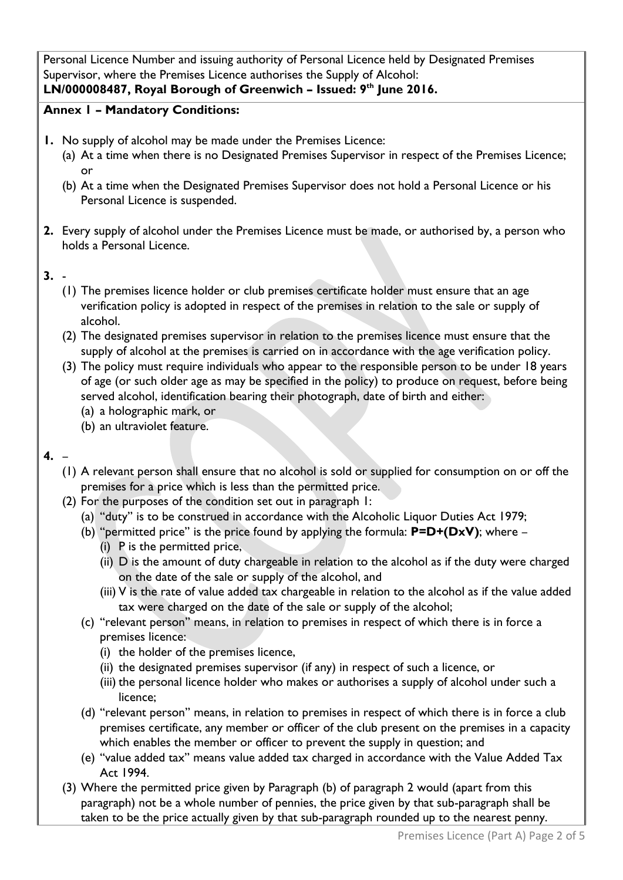Personal Licence Number and issuing authority of Personal Licence held by Designated Premises Supervisor, where the Premises Licence authorises the Supply of Alcohol:

# **LN/000008487, Royal Borough of Greenwich – Issued: 9th June 2016.**

## **Annex 1 – Mandatory Conditions:**

- **1.** No supply of alcohol may be made under the Premises Licence:
	- (a) At a time when there is no Designated Premises Supervisor in respect of the Premises Licence; or
	- (b) At a time when the Designated Premises Supervisor does not hold a Personal Licence or his Personal Licence is suspended.
- **2.** Every supply of alcohol under the Premises Licence must be made, or authorised by, a person who holds a Personal Licence.

#### **3.** -

- (1) The premises licence holder or club premises certificate holder must ensure that an age verification policy is adopted in respect of the premises in relation to the sale or supply of alcohol.
- (2) The designated premises supervisor in relation to the premises licence must ensure that the supply of alcohol at the premises is carried on in accordance with the age verification policy.
- (3) The policy must require individuals who appear to the responsible person to be under 18 years of age (or such older age as may be specified in the policy) to produce on request, before being served alcohol, identification bearing their photograph, date of birth and either:
	- (a) a holographic mark, or
	- (b) an ultraviolet feature.

### **4.** –

- (1) A relevant person shall ensure that no alcohol is sold or supplied for consumption on or off the premises for a price which is less than the permitted price.
- (2) For the purposes of the condition set out in paragraph 1:
	- (a) "duty" is to be construed in accordance with the Alcoholic Liquor Duties Act 1979;
	- (b) "permitted price" is the price found by applying the formula: **P=D+(DxV)**; where
		- (i) P is the permitted price,
		- (ii) D is the amount of duty chargeable in relation to the alcohol as if the duty were charged on the date of the sale or supply of the alcohol, and
		- (iii) V is the rate of value added tax chargeable in relation to the alcohol as if the value added tax were charged on the date of the sale or supply of the alcohol;
	- (c) "relevant person" means, in relation to premises in respect of which there is in force a premises licence:
		- (i) the holder of the premises licence,
		- (ii) the designated premises supervisor (if any) in respect of such a licence, or
		- (iii) the personal licence holder who makes or authorises a supply of alcohol under such a licence;
	- (d) "relevant person" means, in relation to premises in respect of which there is in force a club premises certificate, any member or officer of the club present on the premises in a capacity which enables the member or officer to prevent the supply in question; and
	- (e) "value added tax" means value added tax charged in accordance with the Value Added Tax Act 1994.
- (3) Where the permitted price given by Paragraph (b) of paragraph 2 would (apart from this paragraph) not be a whole number of pennies, the price given by that sub-paragraph shall be taken to be the price actually given by that sub-paragraph rounded up to the nearest penny.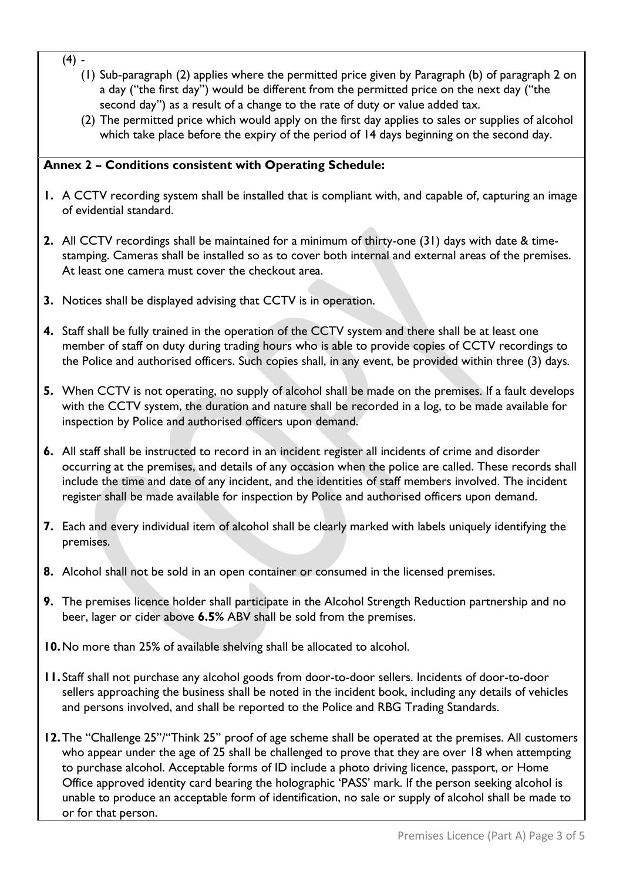- $(4) -$ 
	- (1) Sub-paragraph (2) applies where the permitted price given by Paragraph (b) of paragraph 2 on a day ("the first day") would be different from the permitted price on the next day ("the second day") as a result of a change to the rate of duty or value added tax.
	- (2) The permitted price which would apply on the first day applies to sales or supplies of alcohol which take place before the expiry of the period of 14 days beginning on the second day.

#### **Annex 2 – Conditions consistent with Operating Schedule:**

- **1.** A CCTV recording system shall be installed that is compliant with, and capable of, capturing an image of evidential standard.
- **2.** All CCTV recordings shall be maintained for a minimum of thirty-one (31) days with date & timestamping. Cameras shall be installed so as to cover both internal and external areas of the premises. At least one camera must cover the checkout area.
- **3.** Notices shall be displayed advising that CCTV is in operation.
- **4.** Staff shall be fully trained in the operation of the CCTV system and there shall be at least one member of staff on duty during trading hours who is able to provide copies of CCTV recordings to the Police and authorised officers. Such copies shall, in any event, be provided within three (3) days.
- **5.** When CCTV is not operating, no supply of alcohol shall be made on the premises. If a fault develops with the CCTV system, the duration and nature shall be recorded in a log, to be made available for inspection by Police and authorised officers upon demand.
- **6.** All staff shall be instructed to record in an incident register all incidents of crime and disorder occurring at the premises, and details of any occasion when the police are called. These records shall include the time and date of any incident, and the identities of staff members involved. The incident register shall be made available for inspection by Police and authorised officers upon demand.
- **7.** Each and every individual item of alcohol shall be clearly marked with labels uniquely identifying the premises.
- **8.** Alcohol shall not be sold in an open container or consumed in the licensed premises.
- **9.** The premises licence holder shall participate in the Alcohol Strength Reduction partnership and no beer, lager or cider above **6.5%** ABV shall be sold from the premises.
- **10.**No more than 25% of available shelving shall be allocated to alcohol.
- **11.** Staff shall not purchase any alcohol goods from door-to-door sellers. Incidents of door-to-door sellers approaching the business shall be noted in the incident book, including any details of vehicles and persons involved, and shall be reported to the Police and RBG Trading Standards.
- **12.**The "Challenge 25"/"Think 25" proof of age scheme shall be operated at the premises. All customers who appear under the age of 25 shall be challenged to prove that they are over 18 when attempting to purchase alcohol. Acceptable forms of ID include a photo driving licence, passport, or Home Office approved identity card bearing the holographic 'PASS' mark. If the person seeking alcohol is unable to produce an acceptable form of identification, no sale or supply of alcohol shall be made to or for that person.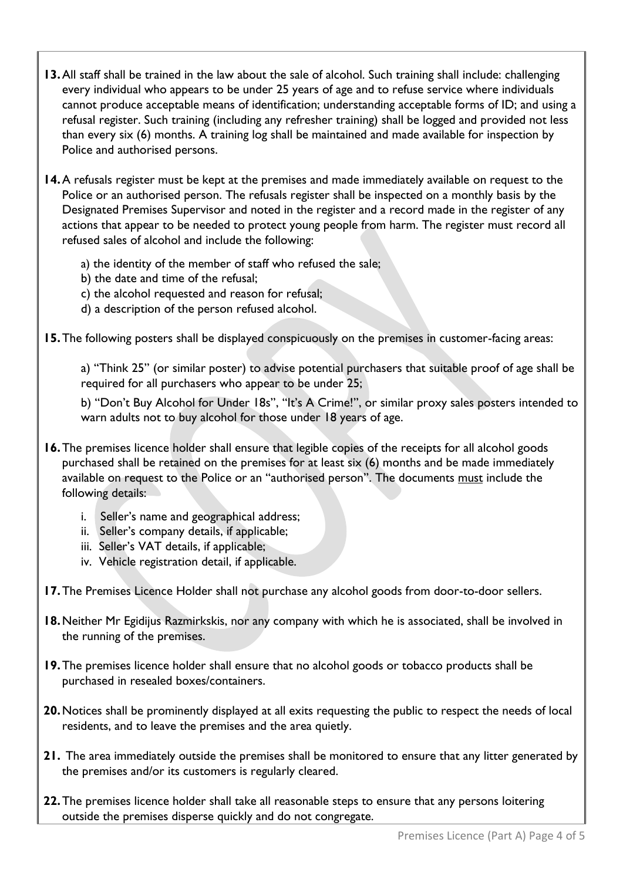- **13.**All staff shall be trained in the law about the sale of alcohol. Such training shall include: challenging every individual who appears to be under 25 years of age and to refuse service where individuals cannot produce acceptable means of identification; understanding acceptable forms of ID; and using a refusal register. Such training (including any refresher training) shall be logged and provided not less than every six (6) months. A training log shall be maintained and made available for inspection by Police and authorised persons.
- **14.**A refusals register must be kept at the premises and made immediately available on request to the Police or an authorised person. The refusals register shall be inspected on a monthly basis by the Designated Premises Supervisor and noted in the register and a record made in the register of any actions that appear to be needed to protect young people from harm. The register must record all refused sales of alcohol and include the following:
	- a) the identity of the member of staff who refused the sale;
	- b) the date and time of the refusal;
	- c) the alcohol requested and reason for refusal;
	- d) a description of the person refused alcohol.
- **15.**The following posters shall be displayed conspicuously on the premises in customer-facing areas:

a) "Think 25" (or similar poster) to advise potential purchasers that suitable proof of age shall be required for all purchasers who appear to be under 25;

b) "Don't Buy Alcohol for Under 18s", "It's A Crime!", or similar proxy sales posters intended to warn adults not to buy alcohol for those under 18 years of age.

- **16.**The premises licence holder shall ensure that legible copies of the receipts for all alcohol goods purchased shall be retained on the premises for at least six (6) months and be made immediately available on request to the Police or an "authorised person". The documents must include the following details:
	- i. Seller's name and geographical address;
	- ii. Seller's company details, if applicable;
	- iii. Seller's VAT details, if applicable;
	- iv. Vehicle registration detail, if applicable.
- **17.**The Premises Licence Holder shall not purchase any alcohol goods from door-to-door sellers.
- **18.**Neither Mr Egidijus Razmirkskis, nor any company with which he is associated, shall be involved in the running of the premises.
- **19.**The premises licence holder shall ensure that no alcohol goods or tobacco products shall be purchased in resealed boxes/containers.
- **20.**Notices shall be prominently displayed at all exits requesting the public to respect the needs of local residents, and to leave the premises and the area quietly.
- **21.** The area immediately outside the premises shall be monitored to ensure that any litter generated by the premises and/or its customers is regularly cleared.
- **22.**The premises licence holder shall take all reasonable steps to ensure that any persons loitering outside the premises disperse quickly and do not congregate.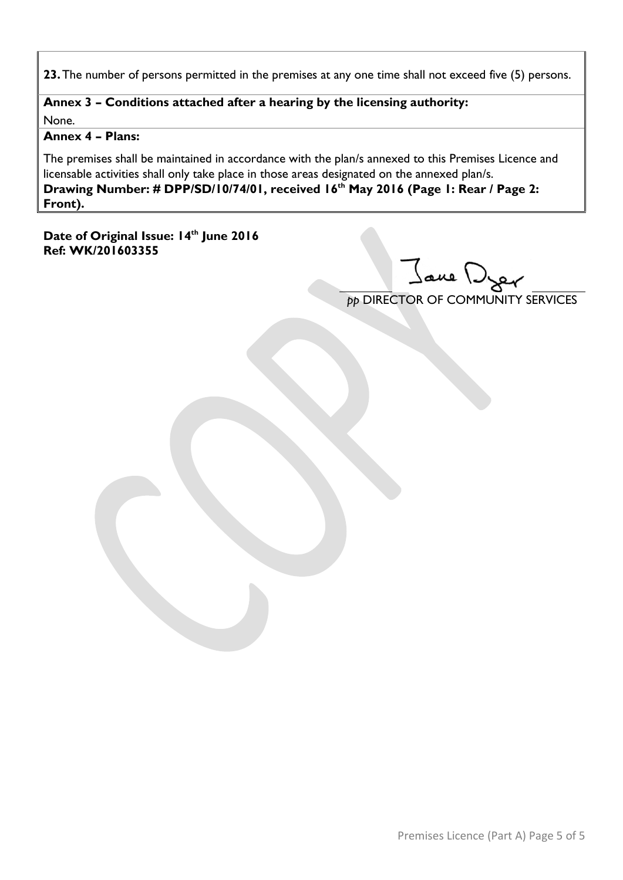**23.**The number of persons permitted in the premises at any one time shall not exceed five (5) persons.

#### **Annex 3 – Conditions attached after a hearing by the licensing authority:** None.

#### **Annex 4 – Plans:**

The premises shall be maintained in accordance with the plan/s annexed to this Premises Licence and licensable activities shall only take place in those areas designated on the annexed plan/s. **Drawing Number: # DPP/SD/10/74/01, received 16th May 2016 (Page 1: Rear / Page 2: Front).**

**Date of Original Issue: 14th June 2016 Ref: WK/201603355**

Jane Dyer

*pp* DIRECTOR OF COMMUNITY SERVICES